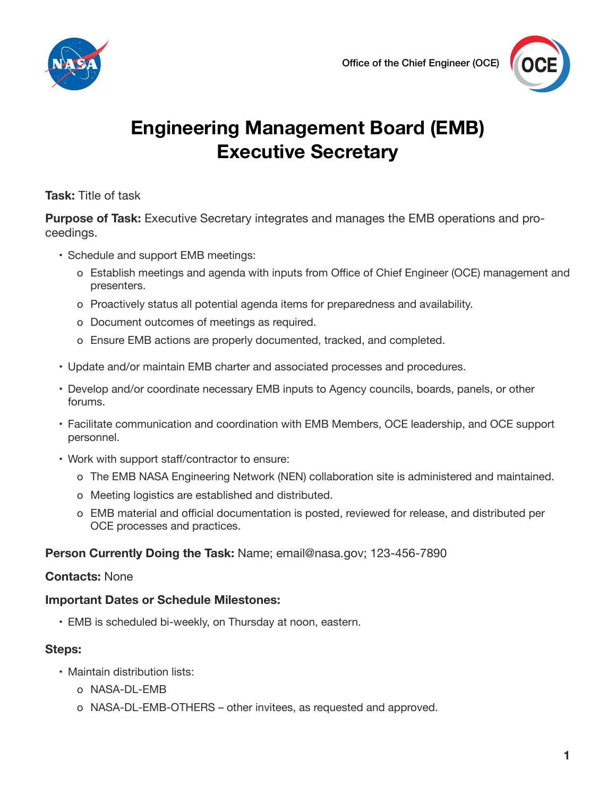



# **Engineering Management Board (EMB) Executive Secretary**

**Task:** Title of task

**Purpose of Task:** Executive Secretary integrates and manages the EMB operations and proceedings.

- Schedule and support EMB meetings:
	- ჿ Establish meetings and agenda with inputs from Office of Chief Engineer (OCE) management and presenters.
	- ჿ Proactively status all potential agenda items for preparedness and availability.
	- ჿ Document outcomes of meetings as required.
	- ჿ Ensure EMB actions are properly documented, tracked, and completed.
- • Update and/or maintain EMB charter and associated processes and procedures.
- • Develop and/or coordinate necessary EMB inputs to Agency councils, boards, panels, or other forums.
- • Facilitate communication and coordination with EMB Members, OCE leadership, and OCE support personnel.
- Work with support staff/contractor to ensure:
	- ჿ The EMB NASA Engineering Network (NEN) collaboration site is administered and maintained.
	- ჿ Meeting logistics are established and distributed.
	- ჿ EMB material and official documentation is posted, reviewed for release, and distributed per OCE processes and practices.

### **Person Currently Doing the Task:** Name; email@nasa.gov; 123-456-7890

### **Contacts:** None

### **Important Dates or Schedule Milestones:**

• EMB is scheduled bi-weekly, on Thursday at noon, eastern.

### **Steps:**

- Maintain distribution lists:
	- ჿ NASA-DL-EMB
	- ჿ NASA-DL-EMB-OTHERS other invitees, as requested and approved.